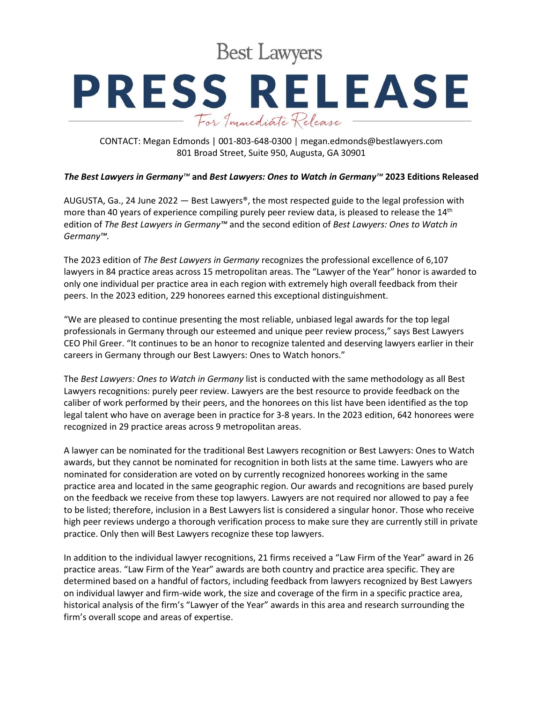**Best Lawyers** 

## **PRESS RELEASE** For Immediate Release

CONTACT: Megan Edmonds | 001-803-648-0300 | megan.edmonds@bestlawyers.com 801 Broad Street, Suite 950, Augusta, GA 30901

## *The Best Lawyers in Germany™* **and** *Best Lawyers: Ones to Watch in Germany™* **2023 Editions Released**

AUGUSTA, Ga., 24 June 2022  $-$  Best Lawyers®, the most respected guide to the legal profession with more than 40 years of experience compiling purely peer review data, is pleased to release the 14<sup>th</sup> edition of *The Best Lawyers in Germany™* and the second edition of *Best Lawyers: Ones to Watch in Germany™.*

The 2023 edition of *The Best Lawyers in Germany* recognizes the professional excellence of 6,107 lawyers in 84 practice areas across 15 metropolitan areas. The "Lawyer of the Year" honor is awarded to only one individual per practice area in each region with extremely high overall feedback from their peers. In the 2023 edition, 229 honorees earned this exceptional distinguishment.

"We are pleased to continue presenting the most reliable, unbiased legal awards for the top legal professionals in Germany through our esteemed and unique peer review process," says Best Lawyers CEO Phil Greer. "It continues to be an honor to recognize talented and deserving lawyers earlier in their careers in Germany through our Best Lawyers: Ones to Watch honors."

The *Best Lawyers: Ones to Watch in Germany* list is conducted with the same methodology as all Best Lawyers recognitions: purely peer review. Lawyers are the best resource to provide feedback on the caliber of work performed by their peers, and the honorees on this list have been identified as the top legal talent who have on average been in practice for 3-8 years. In the 2023 edition, 642 honorees were recognized in 29 practice areas across 9 metropolitan areas.

A lawyer can be nominated for the traditional Best Lawyers recognition or Best Lawyers: Ones to Watch awards, but they cannot be nominated for recognition in both lists at the same time. Lawyers who are nominated for consideration are voted on by currently recognized honorees working in the same practice area and located in the same geographic region. Our awards and recognitions are based purely on the feedback we receive from these top lawyers. Lawyers are not required nor allowed to pay a fee to be listed; therefore, inclusion in a Best Lawyers list is considered a singular honor. Those who receive high peer reviews undergo a thorough verification process to make sure they are currently still in private practice. Only then will Best Lawyers recognize these top lawyers.

In addition to the individual lawyer recognitions, 21 firms received a "Law Firm of the Year" award in 26 practice areas. "Law Firm of the Year" awards are both country and practice area specific. They are determined based on a handful of factors, including feedback from lawyers recognized by Best Lawyers on individual lawyer and firm-wide work, the size and coverage of the firm in a specific practice area, historical analysis of the firm's "Lawyer of the Year" awards in this area and research surrounding the firm's overall scope and areas of expertise.